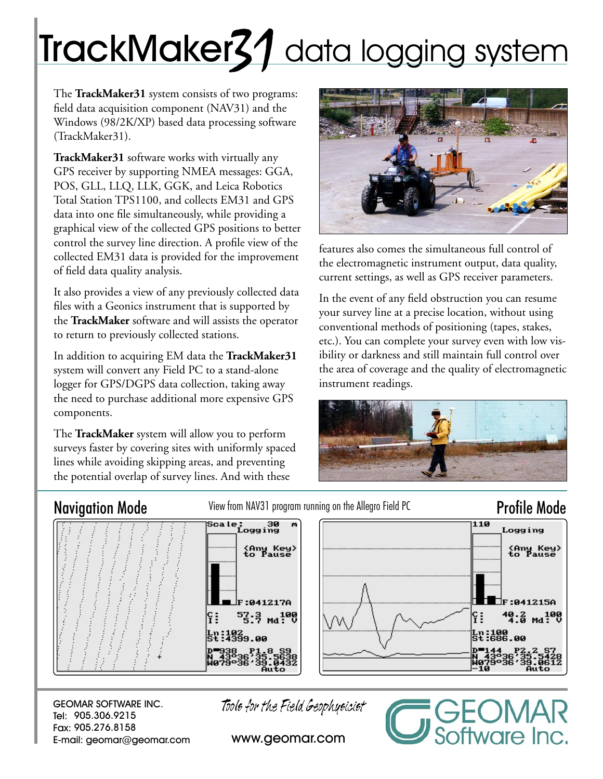# TrackMaker31 data logging system

The **TrackMaker31** system consists of two programs: field data acquisition component (NAV31) and the Windows (98/2K/XP) based data processing software (TrackMaker31).

**TrackMaker31** software works with virtually any GPS receiver by supporting NMEA messages: GGA, POS, GLL, LLQ, LLK, GGK, and Leica Robotics Total Station TPS1100, and collects EM31 and GPS data into one file simultaneously, while providing a graphical view of the collected GPS positions to better control the survey line direction. A profile view of the collected EM31 data is provided for the improvement of field data quality analysis.

It also provides a view of any previously collected data files with a Geonics instrument that is supported by the **TrackMaker** software and will assists the operator to return to previously collected stations.

In addition to acquiring EM data the **TrackMaker31** system will convert any Field PC to a stand-alone logger for GPS/DGPS data collection, taking away the need to purchase additional more expensive GPS components.

The **TrackMaker** system will allow you to perform surveys faster by covering sites with uniformly spaced lines while avoiding skipping areas, and preventing the potential overlap of survey lines. And with these



features also comes the simultaneous full control of the electromagnetic instrument output, data quality, current settings, as well as GPS receiver parameters.

In the event of any field obstruction you can resume your survey line at a precise location, without using conventional methods of positioning (tapes, stakes, etc.). You can complete your survey even with low visibility or darkness and still maintain full control over the area of coverage and the quality of electromagnetic instrument readings.



Navigation Mode View from NAV31 program running on the Allegro Field PC Profile Mode

ftware Inc.



GEOMAR SOFTWARE INC. Tel: 905.306.9215 Fax: 905.276.8158 E-mail: geomar@geomar.com Tools for the Field Geophysicist

www.geomar.com